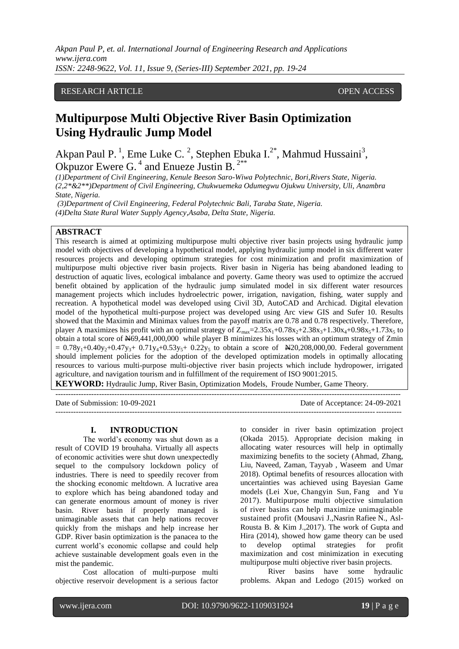*Akpan Paul P, et. al. International Journal of Engineering Research and Applications www.ijera.com ISSN: 2248-9622, Vol. 11, Issue 9, (Series-III) September 2021, pp. 19-24*

# RESEARCH ARTICLE **CONSERVERS** OPEN ACCESS

# **Multipurpose Multi Objective River Basin Optimization Using Hydraulic Jump Model**

Akpan Paul P.<sup>1</sup>, Eme Luke C.<sup>2</sup>, Stephen Ebuka I.<sup>2\*</sup>, Mahmud Hussaini<sup>3</sup>, Okpuzor Ewere G. $<sup>4</sup>$  and Enueze Justin B.<sup>2\*\*</sup></sup>

*(1)Department of Civil Engineering, Kenule Beeson Saro-Wiwa Polytechnic, Bori,Rivers State, Nigeria. (2,2\*&2\*\*)Department of Civil Engineering, Chukwuemeka Odumegwu Ojukwu University, Uli, Anambra State, Nigeria.*

*(3)Department of Civil Engineering, Federal Polytechnic Bali, Taraba State, Nigeria. (4)Delta State Rural Water Supply Agency,Asaba, Delta State, Nigeria.*

# **ABSTRACT**

This research is aimed at optimizing multipurpose multi objective river basin projects using hydraulic jump model with objectives of developing a hypothetical model, applying hydraulic jump model in six different water resources projects and developing optimum strategies for cost minimization and profit maximization of multipurpose multi objective river basin projects. River basin in Nigeria has being abandoned leading to destruction of aquatic lives, ecological imbalance and poverty. Game theory was used to optimize the accrued benefit obtained by application of the hydraulic jump simulated model in six different water resources management projects which includes hydroelectric power, irrigation, navigation, fishing, water supply and recreation. A hypothetical model was developed using Civil 3D, AutoCAD and Archicad. Digital elevation model of the hypothetical multi-purpose project was developed using Arc view GIS and Sufer 10. Results showed that the Maximin and Minimax values from the payoff matrix are 0.78 and 0.78 respectively. Therefore, player A maximizes his profit with an optimal strategy of  $Z_{max}=2.35x_1+0.78x_2+2.38x_3+1.30x_4+0.98x_5+1.73x_5$  to obtain a total score of  $\text{\#}69,441,000,000$  while player B minimizes his losses with an optimum strategy of Zmin  $= 0.78y_1+0.40y_2+0.47y_3+ 0.71y_4+0.53y_5+ 0.22y_5$  to obtain a score of  $\angle 420,208,000,00$ . Federal government should implement policies for the adoption of the developed optimization models in optimally allocating resources to various multi-purpose multi-objective river basin projects which include hydropower, irrigated agriculture, and navigation tourism and in fulfillment of the requirement of ISO 9001:2015.

**KEYWORD:** Hydraulic Jump, River Basin, Optimization Models, Froude Number, Game Theory.

---------------------------------------------------------------------------------------------------------------------------------------

Date of Submission: 10-09-2021 Date of Acceptance: 24-09-2021

#### **I. INTRODUCTION**

The world's economy was shut down as a result of COVID 19 brouhaha. Virtually all aspects of economic activities were shut down unexpectedly sequel to the compulsory lockdown policy of industries. There is need to speedily recover from the shocking economic meltdown. A lucrative area to explore which has being abandoned today and can generate enormous amount of money is river basin. River basin if properly managed is unimaginable assets that can help nations recover quickly from the mishaps and help increase her GDP. River basin optimization is the panacea to the current world's economic collapse and could help achieve sustainable development goals even in the mist the pandemic.

Cost allocation of multi-purpose multi objective reservoir development is a serious factor to consider in river basin optimization project [\(Okada](https://www.sciencedirect.com/science/article/pii/S1474667017640539#!) 2015). Appropriate decision making in allocating water resources will help in optimally maximizing benefits to the society (Ahmad, Zhang, Liu, Naveed, Zaman, Tayyab , Waseem and Umar 2018). Optimal benefits of resources allocation with uncertainties was achieved using Bayesian Game models [\(Lei Xue,](https://www.emeraldinsight.com/author/Xue%2C+Lei) [Changyin Sun,](https://www.emeraldinsight.com/author/Sun%2C+Changyin) [Fang and Yu](https://www.emeraldinsight.com/author/Yu%2C+Fang) 2017). Multipurpose multi objective simulation of river basins can help maximize unimaginable sustained profit (Mousavi J.,Nasrin Rafiee N., Asl-Rousta B. & Kim J.,2017). The work of Gupta and Hira (2014), showed how game theory can be used to develop optimal strategies for profit maximization and cost minimization in executing multipurpose multi objective river basin projects.

---------------------------------------------------------------------------------------------------------------------------------------

River basins have some hydraulic problems. Akpan and Ledogo (2015) worked on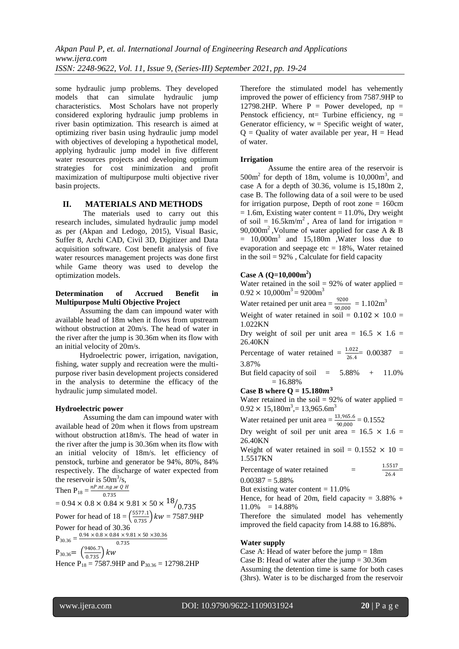some hydraulic jump problems. They developed models that can simulate hydraulic jump characteristics. Most Scholars have not properly considered exploring hydraulic jump problems in river basin optimization. This research is aimed at optimizing river basin using hydraulic jump model with objectives of developing a hypothetical model, applying hydraulic jump model in five different water resources projects and developing optimum strategies for cost minimization and profit maximization of multipurpose multi objective river basin projects.

## **II. MATERIALS AND METHODS**

The materials used to carry out this research includes, simulated hydraulic jump model as per (Akpan and Ledogo, 2015), Visual Basic, Suffer 8, Archi CAD, Civil 3D, Digitizer and Data acquisition software. Cost benefit analysis of five water resources management projects was done first while Game theory was used to develop the optimization models.

### **Determination of Accrued Benefit in Multipurpose Multi Objective Project**

Assuming the dam can impound water with available head of 18m when it flows from upstream without obstruction at 20m/s. The head of water in the river after the jump is 30.36m when its flow with an initial velocity of 20m/s.

Hydroelectric power, irrigation, navigation, fishing, water supply and recreation were the multipurpose river basin development projects considered in the analysis to determine the efficacy of the hydraulic jump simulated model.

#### **Hydroelectric power**

Assuming the dam can impound water with available head of 20m when it flows from upstream without obstruction at18m/s. The head of water in the river after the jump is 30.36m when its flow with an initial velocity of 18m/s. let efficiency of penstock, turbine and generator be 94%, 80%, 84% respectively. The discharge of water expected from the reservoir is  $50 \text{m}^3/\text{s}$ ,

Then P<sub>18</sub> = 
$$
\frac{nP.nt.ng.w Q H}{0.735}
$$
  
= 0.94 × 0.8 × 0.84 × 9.81 × 50 ×  $18/0.735$   
Power for head of 18 =  $\left(\frac{5577.1}{0.735}\right)kw = 7587.9HP$   
Power for head of 30.36  
P<sub>30.36</sub> =  $\frac{0.94 × 0.8 × 0.84 × 9.81 × 50 × 30.36}{0.735}$   
P<sub>30.36</sub> =  $\left(\frac{9406.7}{0.735}\right)kw$ 

Hence  $P_{18} = 7587.9HP$  and  $P_{30.36} = 12798.2HP$ 

Therefore the stimulated model has vehemently improved the power of efficiency from 7587.9HP to 12798.2HP. Where  $P = Power$  developed, np = Penstock efficiency,  $nt=$  Turbine efficiency,  $ng =$ Generator efficiency,  $w =$  Specific weight of water,  $Q =$  Quality of water available per year,  $H =$  Head of water.

#### **Irrigation**

Assume the entire area of the reservoir is  $500m<sup>2</sup>$  for depth of 18m, volume is  $10,000m<sup>3</sup>$ , and case A for a depth of 30.36, volume is 15,180m 2, case B. The following data of a soil were to be used for irrigation purpose, Depth of root zone = 160cm  $= 1.6$ m, Existing water content  $= 11.0$ %, Dry weight of soil =  $16.5 \text{km/m}^2$ , Area of land for irrigation = 90,000 $m^2$ , Volume of water applied for case A & B  $= 10,000 \text{m}^3$  and  $15,180 \text{m}$ , Water loss due to evaporation and seepage  $etc = 18\%$ , Water retained in the soil  $= 92\%$ , Calculate for field capacity

# **Case A (Q=10,000m<sup>2</sup> )**

Water retained in the soil  $= 92\%$  of water applied  $=$  $0.92 \times 10,000$ m<sup>3</sup> = 9200m<sup>3</sup>

Water retained per unit area  $=$   $\frac{9200}{90,000}$  = 1.102m<sup>3</sup>

Weight of water retained in soil =  $0.102 \times 10.0$  = 1.022KN

Dry weight of soil per unit area =  $16.5 \times 1.6$  = 26.40KN

Percentage of water retained  $=$   $\frac{1.022}{26.4}$  = 0.00387 = 3.87%

But field capacity of soil  $= 5.88\% + 11.0\%$  $= 16.88%$ 

**Case B where Q = 15.180** $m^3$ 

Water retained in the soil  $= 92\%$  of water applied  $=$  $0.92 \times 15,180$ m<sup>3</sup> $= 13,965.6$ m<sup>3</sup>

Water retained per unit area  $=$   $\frac{13,965.6}{90,000}$   $=$  0.1552

Dry weight of soil per unit area =  $16.5 \times 1.6$  = 26.40KN

Weight of water retained in soil =  $0.1552 \times 10 =$ 1.5517KN

Percentage of water retained 
$$
= \frac{1.5517}{26.4}
$$

$$
= 0.00387 = 5.88\%
$$

But existing water content  $= 11.0\%$ 

Hence, for head of 20m, field capacity =  $3.88\%$  +  $11.0\% = 14.88\%$ 

Therefore the simulated model has vehemently improved the field capacity from 14.88 to 16.88%.

# **Water supply**

Case A: Head of water before the jump  $= 18m$ Case B: Head of water after the jump = 30.36m Assuming the detention time is same for both cases (3hrs). Water is to be discharged from the reservoir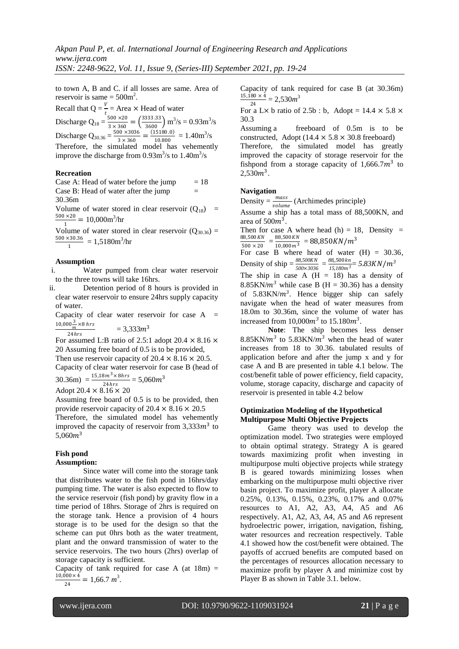to town A, B and C. if all losses are same. Area of reservoir is same  $= 500 \text{m}^2$ .

Recall that  $Q = \frac{V}{t}$  = Area  $\times$  Head of water Discharge  $Q_{18} = \frac{500 \times 20}{3 \times 360}$  $\frac{500 \times 20}{3 \times 360} = \left(\frac{3333.33}{3600}\right) \text{ m}^3/\text{s} = 0.93 \text{ m}^3/\text{s}$ Discharge  $Q_{30.36} = \frac{500 \times 3036}{3 \times 360}$  $\frac{30 \times 3036}{3 \times 360} = \frac{(15180.0)}{10.800}$  $\frac{(5180.0)}{10.800} = 1.40 \text{m}^3/\text{s}$ Therefore, the simulated model has vehemently improve the discharge from  $0.93 \text{m}^3/\text{s}$  to  $1.40 \text{m}^3/\text{s}$ 

#### **Recreation**

Case A: Head of water before the jump  $= 18$ Case B: Head of water after the jump  $=$ 30.36m

Volume of water stored in clear reservoir  $(Q_{18})$  = 500 ×20  $\frac{1}{1}$  = 10,000m<sup>3</sup>/hr

Volume of water stored in clear reservoir  $(Q_{30.36})$  = 500 ×30.36  $\frac{1}{1}$  = 1,5180m<sup>3</sup>/hr

#### **Assumption**

i. Water pumped from clear water reservoir to the three towns will take 16hrs.

ii. Detention period of 8 hours is provided in clear water reservoir to ensure 24hrs supply capacity of water.

Capacity of clear water reservoir for case  $A =$  $\frac{10,000\frac{3}{m}}{8} \times 8$  hrs  $3,33333$ 

$$
\frac{m}{24hrs} = 3,333m
$$

 $^{24hrs}$  For assumed L:B ratio of 2.5:1 adopt 20.4  $\times$  8.16  $\times$ 20 Assuming free board of 0.5 is to be provided, Then use reservoir capacity of  $20.4 \times 8.16 \times 20.5$ .

Capacity of clear water reservoir for case B (head of  $30.36m = {15,18m^3 \times 8hrs \over 24hrs} = 5,060m^3$ 

Adopt  $20.4 \times 8.16 \times 20$ 

Assuming free board of 0.5 is to be provided, then provide reservoir capacity of  $20.4 \times 8.16 \times 20.5$ Therefore, the simulated model has vehemently improved the capacity of reservoir from  $3,333m^3$  to  $5.060m^3$ 

# **Fish pond**

# **Assumption:**

Since water will come into the storage tank that distributes water to the fish pond in 16hrs/day pumping time. The water is also expected to flow to the service reservoir (fish pond) by gravity flow in a time period of 18hrs. Storage of 2hrs is required on the storage tank. Hence a provision of 4 hours storage is to be used for the design so that the scheme can put 0hrs both as the water treatment, plant and the onward transmission of water to the service reservoirs. The two hours (2hrs) overlap of storage capacity is sufficient.

Capacity of tank required for case A (at  $18m$ ) =  $10,000 \times 4$  $\frac{300 \times 4}{24} = 1,66.7 \ m^3.$ 

$$
2^{\prime}
$$

Capacity of tank required for case B (at 30.36m)  $\frac{15,180\times4}{34}$  = 2,530*m*<sup>3</sup> 24

For a L $\times$  b ratio of 2.5b : b, Adopt = 14.4  $\times$  5.8  $\times$ 30.3

Assuming a freeboard of 0.5m is to be constructed, Adopt ( $14.4 \times 5.8 \times 30.8$  freeboard)

Therefore, the simulated model has greatly improved the capacity of storage reservoir for the fishpond from a storage capacity of  $1,666.7m^3$  to  $2,530m^3$ .

### **Navigation**

Density =  $\frac{mass}{volume}$  (Archimedes principle)

Assume a ship has a total mass of 88,500KN, and area of  $500m^3$ .

Then for case A where head  $(h) = 18$ , Density = 88,500*KN*  $\frac{38,500\,KN}{500\times20} = \frac{88,500\,KN}{10,000\,m^3}$  $\frac{88,500 \text{ K}N}{10,000 \text{ m}^3} = 88,850 \text{ K}N/m^3$ 

For case B where head of water  $(H) = 30.36$ , Density of ship =  $\frac{88,500KN}{500 \times 3036}$  $\frac{88,500KN}{500\times3036} = \frac{88,500\,\text{km}}{15,180\text{m}^3}$  $\frac{15,180m^3}{15,180m^3}$  = 5.83KN/ $m^3$ 

The ship in case A  $(H = 18)$  has a density of 8.85KN/ $m<sup>3</sup>$  while case B (H = 30.36) has a density of  $5.83 \text{KN/m}^3$ . Hence bigger ship can safely navigate when the head of water measures from 18.0m to 30.36m, since the volume of water has increased from  $10,000m^3$  to  $15.180m^3$ .

**Note**: The ship becomes less denser  $8.85$ KN/ $m<sup>3</sup>$  to  $5.83$ KN/ $m<sup>3</sup>$  when the head of water increases from 18 to 30.36. tabulated results of application before and after the jump x and y for case A and B are presented in table 4.1 below. The cost/benefit table of power efficiency, field capacity, volume, storage capacity, discharge and capacity of reservoir is presented in table 4.2 below

#### **Optimization Modeling of the Hypothetical Multipurpose Multi Objective Projects**

Game theory was used to develop the optimization model. Two strategies were employed to obtain optimal strategy. Strategy A is geared towards maximizing profit when investing in multipurpose multi objective projects while strategy B is geared towards minimizing losses when embarking on the multipurpose multi objective river basin project. To maximize profit, player A allocate 0.25%, 0.13%, 0.15%, 0.23%, 0.17% and 0.07% resources to A1, A2, A3, A4, A5 and A6 respectively. A1, A2, A3, A4, A5 and A6 represent hydroelectric power, irrigation, navigation, fishing, water resources and recreation respectively. Table 4.1 showed how the cost/benefit were obtained. The payoffs of accrued benefits are computed based on the percentages of resources allocation necessary to maximize profit by player A and minimize cost by Player B as shown in Table 3.1. below.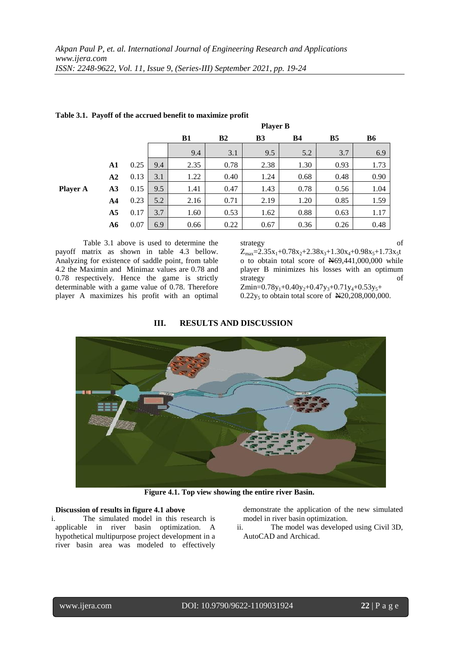|                 |                |      |     | <b>Player B</b> |                |                |      |           |      |
|-----------------|----------------|------|-----|-----------------|----------------|----------------|------|-----------|------|
|                 |                |      |     | B1              | B <sub>2</sub> | B <sub>3</sub> | В4   | <b>B5</b> | B6   |
|                 |                |      |     | 9.4             | 3.1            | 9.5            | 5.2  | 3.7       | 6.9  |
|                 | A1             | 0.25 | 9.4 | 2.35            | 0.78           | 2.38           | 1.30 | 0.93      | 1.73 |
|                 | ${\bf A2}$     | 0.13 | 3.1 | 1.22            | 0.40           | 1.24           | 0.68 | 0.48      | 0.90 |
| <b>Player A</b> | A3             | 0.15 | 9.5 | 1.41            | 0.47           | 1.43           | 0.78 | 0.56      | 1.04 |
|                 | A <sub>4</sub> | 0.23 | 5.2 | 2.16            | 0.71           | 2.19           | 1.20 | 0.85      | 1.59 |
|                 | A <sub>5</sub> | 0.17 | 3.7 | 1.60            | 0.53           | 1.62           | 0.88 | 0.63      | 1.17 |
|                 | A6             | 0.07 | 6.9 | 0.66            | 0.22           | 0.67           | 0.36 | 0.26      | 0.48 |

# **Table 3.1. Payoff of the accrued benefit to maximize profit**

Table 3.1 above is used to determine the payoff matrix as shown in table 4.3 bellow. Analyzing for existence of saddle point, from table 4.2 the Maximin and Minimaz values are 0.78 and 0.78 respectively. Hence the game is strictly determinable with a game value of 0.78. Therefore player A maximizes his profit with an optimal

strategy of  $Z_{\text{max}} = 2.35x_1 + 0.78x_2 + 2.38x_3 + 1.30x_4 + 0.98x_5 + 1.73x_5$ t o to obtain total score of N69,441,000,000 while player B minimizes his losses with an optimum strategy of

Zmin= $0.78y_1+0.40y_2+0.47y_3+0.71y_4+0.53y_5+$  $0.22y_5$  to obtain total score of  $\cancel{\text{N}20,208,000,000}$ .

# **III. RESULTS AND DISCUSSION**



**Figure 4.1. Top view showing the entire river Basin.**

#### **Discussion of results in figure 4.1 above**

i. The simulated model in this research is applicable in river basin optimization. A hypothetical multipurpose project development in a river basin area was modeled to effectively

demonstrate the application of the new simulated model in river basin optimization.

ii. The model was developed using Civil 3D, AutoCAD and Archicad.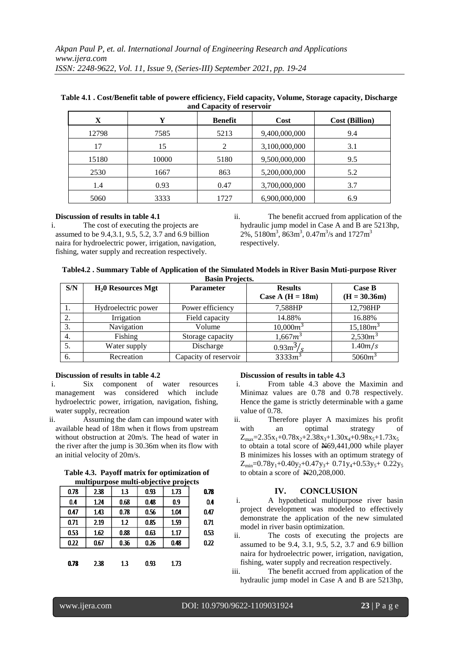| $\frac{1}{2}$ |       |                |               |                       |  |  |
|---------------|-------|----------------|---------------|-----------------------|--|--|
| X             | Y     | <b>Benefit</b> | Cost          | <b>Cost (Billion)</b> |  |  |
| 12798         | 7585  | 5213           | 9,400,000,000 | 9.4                   |  |  |
| 17            | 15    | 2              | 3,100,000,000 | 3.1                   |  |  |
| 15180         | 10000 | 5180           | 9,500,000,000 | 9.5                   |  |  |
| 2530          | 1667  | 863            | 5,200,000,000 | 5.2                   |  |  |
| 1.4           | 0.93  | 0.47           | 3,700,000,000 | 3.7                   |  |  |
| 5060          | 3333  | 1727           | 6,900,000,000 | 6.9                   |  |  |

# **Table 4.1 . Cost/Benefit table of powere efficiency, Field capacity, Volume, Storage capacity, Discharge and Capacity of reservoir**

#### **Discussion of results in table 4.1**

i. The cost of executing the projects are assumed to be 9.4,3.1, 9.5, 5.2, 3.7 and 6.9 billion naira for hydroelectric power, irrigation, navigation, fishing, water supply and recreation respectively.

ii. The benefit accrued from application of the hydraulic jump model in Case A and B are 5213hp,  $2\%$ , 5180m<sup>3</sup>, 863m<sup>3</sup>, 0.47m<sup>3</sup>/s and 1727m<sup>3</sup> respectively.

| Table4.2 . Summary Table of Application of the Simulated Models in River Basin Muti-purpose River |
|---------------------------------------------------------------------------------------------------|
| <b>Basin Projects.</b>                                                                            |

| S/N | $H20$ Resources Mgt | <b>Parameter</b>      | <b>Results</b><br>Case A $(H = 18m)$ | Case B<br>$(H = 30.36m)$ |
|-----|---------------------|-----------------------|--------------------------------------|--------------------------|
|     | Hydroelectric power | Power efficiency      | 7,588HP                              | 12,798HP                 |
| 2.  | Irrigation          | Field capacity        | 14.88%                               | 16.88%                   |
| 3.  | Navigation          | Volume                | $10,000m^3$                          | $15,180m^3$              |
| 4.  | Fishing             | Storage capacity      | $1,667m^3$                           | $2,530m^3$               |
|     | Water supply        | Discharge             | $0.93 \text{m}^3/\text{s}$           | 1.40m/s                  |
| 6.  | Recreation          | Capacity of reservoir | $3333m^3$                            | $5060m^3$                |

# **Discussion of results in table 4.2**

- i. Six component of water resources management was considered which include hydroelectric power, irrigation, navigation, fishing, water supply, recreation
- ii. Assuming the dam can impound water with available head of 18m when it flows from upstream without obstruction at 20m/s. The head of water in the river after the jump is 30.36m when its flow with an initial velocity of 20m/s.

| Table 4.3. Payoff matrix for optimization of |
|----------------------------------------------|
| multipurpose multi-objective projects        |

|      |      |      | $\cdot$ | $\cdot$ |      |
|------|------|------|---------|---------|------|
| 0.78 | 2.38 | 1.3  | 0.93    | 1.73    | 0.78 |
| 0.4  | 1.24 | 0.68 | 0.48    | 0.9     | 0.4  |
| 0.47 | 1.43 | 0.78 | 0.56    | 1.04    | 047  |
| 0.71 | 2.19 | 1.2  | 0.85    | 1.59    | 0.71 |
| 0.53 | 1.62 | 0.88 | 0.63    | 1.17    | 0.53 |
| 0.22 | 0.67 | 0.36 | 0.26    | 0.48    | 0.22 |
|      |      |      |         |         |      |
| 0.78 | 2.38 | 1.3  | 0.93    | 1.73    |      |

# **Discussion of results in table 4.3**

- i. From table 4.3 above the Maximin and Minimaz values are 0.78 and 0.78 respectively. Hence the game is strictly determinable with a game value of 0.78.
- ii. Therefore player A maximizes his profit with an optimal strategy of  $Z_{\text{max}} = 2.35x_1+0.78x_2+2.38x_3+1.30x_4+0.98x_5+1.73x_5$ to obtain a total score of N69,441,000 while player B minimizes his losses with an optimum strategy of  $Z_{min}$ =0.78y<sub>1</sub>+0.40y<sub>2</sub>+0.47y<sub>3</sub>+ 0.71y<sub>4</sub>+0.53y<sub>5</sub>+ 0.22y<sub>5</sub> to obtain a score of N20,208,000.

# **IV. CONCLUSION**

- i. A hypothetical multipurpose river basin project development was modeled to effectively demonstrate the application of the new simulated model in river basin optimization.
- ii. The costs of executing the projects are assumed to be 9.4, 3.1, 9.5, 5.2, 3.7 and 6.9 billion naira for hydroelectric power, irrigation, navigation, fishing, water supply and recreation respectively.
- iii. The benefit accrued from application of the hydraulic jump model in Case A and B are 5213hp,